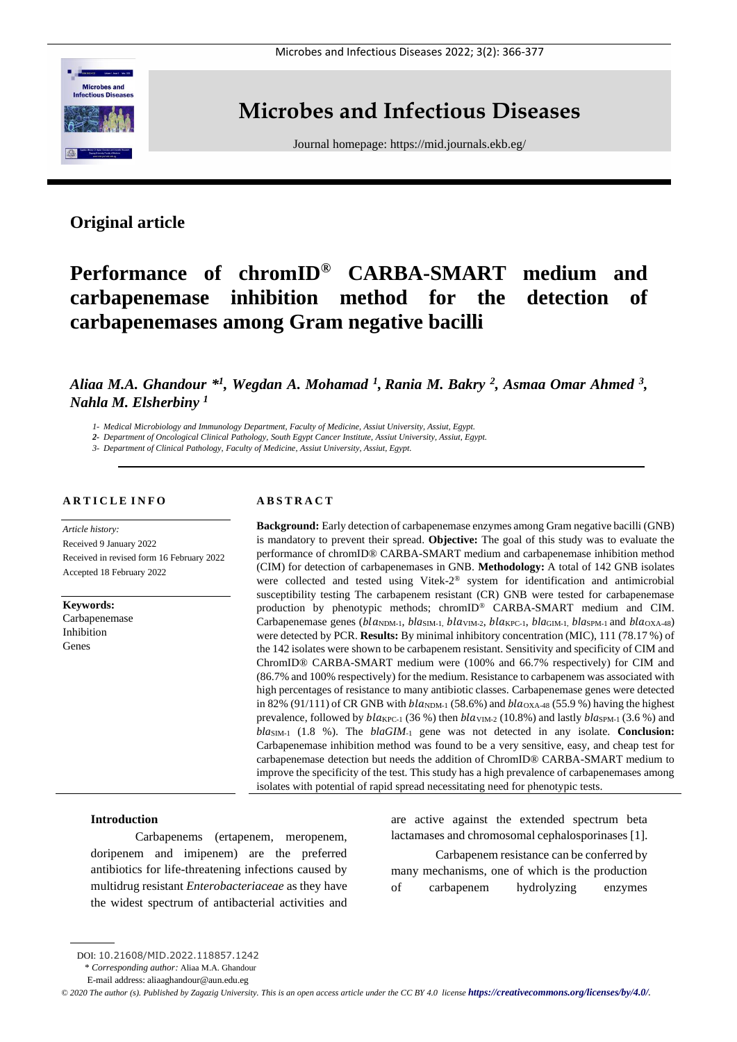

# **Microbes and Infectious Diseases**

Journal homepage:<https://mid.journals.ekb.eg/>

# **Original article**

# **Performance of chromID® CARBA-SMART medium and carbapenemase inhibition method for the detection of carbapenemases among Gram negative bacilli**

# Aliaa M.A. Ghandour  $*^{1}$ , Wegdan A. Mohamad <sup>1</sup>, Rania M. Bakry <sup>2</sup>, Asmaa Omar Ahmed <sup>3</sup>, *Nahla M. Elsherbiny <sup>1</sup>*

*1- Medical Microbiology and Immunology Department, Faculty of Medicine, Assiut University, Assiut, Egypt.*

*2- Department of Oncological Clinical Pathology, South Egypt Cancer Institute, Assiut University, Assiut, Egypt.* 

*3- Department of Clinical Pathology, Faculty of Medicine, Assiut University, Assiut, Egypt.*

#### **A R T I C L E I N F O**

*Article history:*  Received 9 January 2022 Received in revised form 16 February 2022 Accepted 18 February 2022

**Keywords:** Carbapenemase Inhibition Genes

# **A B S T R A C T**

**Background:** Early detection of carbapenemase enzymes among Gram negative bacilli (GNB) is mandatory to prevent their spread. **Objective:** The goal of this study was to evaluate the performance of chromID® CARBA-SMART medium and carbapenemase inhibition method (CIM) for detection of carbapenemases in GNB. **Methodology:** A total of 142 GNB isolates were collected and tested using Vitek-2 ® system for identification and antimicrobial susceptibility testing The carbapenem resistant (CR) GNB were tested for carbapenemase production by phenotypic methods; chromID® CARBA-SMART medium and CIM. Carbapenemase genes (bla<sub>NDM-1</sub>, *bla*<sub>SIM-1</sub>, *bla*<sub>WM-2</sub>, *bla*<sub>C-1</sub>, *bla*<sub>GIM-1</sub>, *bla*<sub>SPM-1</sub> and *bla*<sub>OXA-48</sub>) were detected by PCR. **Results:** By minimal inhibitory concentration (MIC), 111 (78.17 %) of the 142 isolates were shown to be carbapenem resistant. Sensitivity and specificity of CIM and ChromID® CARBA-SMART medium were (100% and 66.7% respectively) for CIM and (86.7% and 100% respectively) for the medium. Resistance to carbapenem was associated with high percentages of resistance to many antibiotic classes. Carbapenemase genes were detected in 82% (91/111) of CR GNB with  $bla<sub>NDM-1</sub>$  (58.6%) and  $bla<sub>OXA-48</sub>$  (55.9%) having the highest prevalence, followed by  $black_{\text{PC-1}}$  (36 %) then  $blaw_{\text{IM-2}}$  (10.8%) and lastly  $blas_{\text{PM-1}}$  (3.6 %) and *bla*SIM-1 (1.8 %). The *blaGIM*-1 gene was not detected in any isolate. **Conclusion:** Carbapenemase inhibition method was found to be a very sensitive, easy, and cheap test for carbapenemase detection but needs the addition of ChromID® CARBA-SMART medium to improve the specificity of the test. This study has a high prevalence of carbapenemases among isolates with potential of rapid spread necessitating need for phenotypic tests.

#### **Introduction**

Carbapenems (ertapenem, meropenem, doripenem and imipenem) are the preferred antibiotics for life-threatening infections caused by multidrug resistant *Enterobacteriaceae* as they have the widest spectrum of antibacterial activities and

are active against the extended spectrum beta lactamases and chromosomal cephalosporinases [1]. Carbapenem resistance can be conferred by many mechanisms, one of which is the production of carbapenem hydrolyzing enzymes

DOI: 10.21608/MID.2022.118857.1242

<sup>\*</sup> *Corresponding author:* Aliaa M.A. Ghandour

E-mail address: aliaaghandour@aun.edu.eg

 $\degree$  2020 The author (s). Published by Zagazig University. This is an open access article under the CC BY 4.0 license **<https://creativecommons.org/licenses/by/4.0/>***.*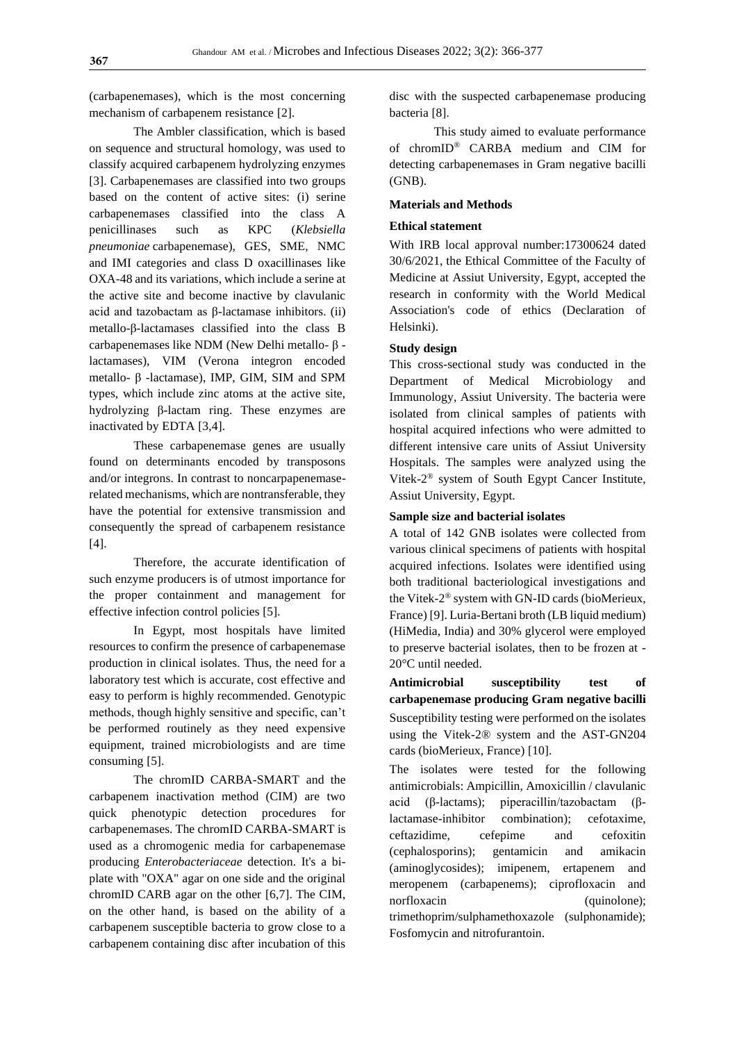(carbapenemases), which is the most concerning mechanism of carbapenem resistance [2].

The Ambler classification, which is based on sequence and structural homology, was used to classify acquired carbapenem hydrolyzing enzymes [3]. Carbapenemases are classified into two groups based on the content of active sites: (i) serine carbapenemases classified into the class A penicillinases such as KPC (*Klebsiella pneumoniae* carbapenemase), GES, SME, NMC and IMI categories and class D oxacillinases like OXA-48 and its variations, which include a serine at the active site and become inactive by clavulanic acid and tazobactam as β-lactamase inhibitors. (ii) metallo-β-lactamases classified into the class B carbapenemases like NDM (New Delhi metallo- β lactamases), VIM (Verona integron encoded metallo- β -lactamase), IMP, GIM, SIM and SPM types, which include zinc atoms at the active site, hydrolyzing β-lactam ring. These enzymes are inactivated by EDTA [3,4].

These carbapenemase genes are usually found on determinants encoded by transposons and/or integrons. In contrast to noncarpapenemaserelated mechanisms, which are nontransferable, they have the potential for extensive transmission and consequently the spread of carbapenem resistance [4].

Therefore, the accurate identification of such enzyme producers is of utmost importance for the proper containment and management for effective infection control policies [5].

In Egypt, most hospitals have limited resources to confirm the presence of carbapenemase production in clinical isolates. Thus, the need for a laboratory test which is accurate, cost effective and easy to perform is highly recommended. Genotypic methods, though highly sensitive and specific, can't be performed routinely as they need expensive equipment, trained microbiologists and are time consuming [5].

The chromID CARBA-SMART and the carbapenem inactivation method (CIM) are two quick phenotypic detection procedures for carbapenemases. The chromID CARBA-SMART is used as a chromogenic media for carbapenemase producing *Enterobacteriaceae* detection. It's a biplate with "OXA" agar on one side and the original chromID CARB agar on the other [6,7]. The CIM, on the other hand, is based on the ability of a carbapenem susceptible bacteria to grow close to a carbapenem containing disc after incubation of this disc with the suspected carbapenemase producing bacteria [8].

This study aimed to evaluate performance of chromID® CARBA medium and CIM for detecting carbapenemases in Gram negative bacilli (GNB).

### **Materials and Methods**

# **Ethical statement**

With IRB local approval number:17300624 dated 30/6/2021, the Ethical Committee of the Faculty of Medicine at Assiut University, Egypt, accepted the research in conformity with the World Medical Association's code of ethics (Declaration of Helsinki).

## **Study design**

This cross-sectional study was conducted in the Department of Medical Microbiology and Immunology, Assiut University. The bacteria were isolated from clinical samples of patients with hospital acquired infections who were admitted to different intensive care units of Assiut University Hospitals. The samples were analyzed using the Vitek-2 ® system of South Egypt Cancer Institute, Assiut University, Egypt.

#### **Sample size and bacterial isolates**

A total of 142 GNB isolates were collected from various clinical specimens of patients with hospital acquired infections. Isolates were identified using both traditional bacteriological investigations and the Vitek-2 ® system with GN-ID cards (bioMerieux, France) [9]. Luria-Bertani broth (LB liquid medium) (HiMedia, India) and 30% glycerol were employed to preserve bacterial isolates, then to be frozen at - 20°C until needed.

**Antimicrobial susceptibility test of carbapenemase producing Gram negative bacilli** Susceptibility testing were performed on the isolates using the Vitek-2® system and the AST-GN204 cards (bioMerieux, France) [10].

The isolates were tested for the following antimicrobials: Ampicillin, Amoxicillin / clavulanic acid (β-lactams); piperacillin/tazobactam (βlactamase-inhibitor combination); cefotaxime, ceftazidime, cefepime and cefoxitin (cephalosporins); gentamicin and amikacin (aminoglycosides); imipenem, ertapenem and meropenem (carbapenems); ciprofloxacin and norfloxacin (quinolone); trimethoprim/sulphamethoxazole (sulphonamide); Fosfomycin and nitrofurantoin.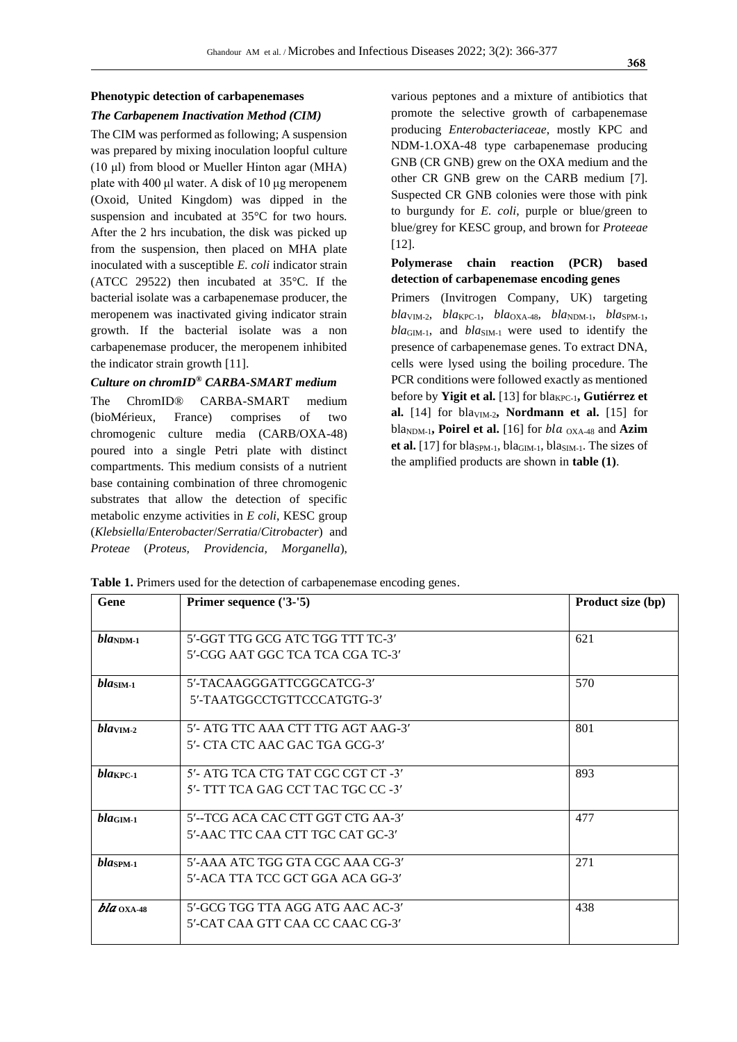# **Phenotypic detection of carbapenemases**

# *The Carbapenem Inactivation Method (CIM)*

The CIM was performed as following; A suspension was prepared by mixing inoculation loopful culture (10 μl) from blood or Mueller Hinton agar (MHA) plate with 400 μl water. A disk of 10 μg meropenem (Oxoid, United Kingdom) was dipped in the suspension and incubated at 35°C for two hours. After the 2 hrs incubation, the disk was picked up from the suspension, then placed on MHA plate inoculated with a susceptible *E. coli* indicator strain (ATCC 29522) then incubated at 35°C. If the bacterial isolate was a carbapenemase producer, the meropenem was inactivated giving indicator strain growth. If the bacterial isolate was a non carbapenemase producer, the meropenem inhibited the indicator strain growth [11].

#### *Culture on chromID® CARBA-SMART medium*

The ChromID® CARBA-SMART medium (bioMérieux, France) comprises of two chromogenic culture media (CARB/OXA-48) poured into a single Petri plate with distinct compartments. This medium consists of a nutrient base containing combination of three chromogenic substrates that allow the detection of specific metabolic enzyme activities in *E coli*, KESC group (*Klebsiella*/*Enterobacter*/*Serratia*/*Citrobacter*) and *Proteae* (*Proteus, Providencia, Morganella*),

various peptones and a mixture of antibiotics that promote the selective growth of carbapenemase producing *Enterobacteriaceae*, mostly KPC and NDM-1.OXA-48 type carbapenemase producing GNB (CR GNB) grew on the OXA medium and the other CR GNB grew on the CARB medium [7]. Suspected CR GNB colonies were those with pink to burgundy for *E. coli*, purple or blue/green to blue/grey for KESC group, and brown for *Proteeae* [12].

# **Polymerase chain reaction (PCR) based detection of carbapenemase encoding genes**

Primers (Invitrogen Company, UK) targeting  $bla<sub>VIM-2</sub>, bla<sub>KPC-1</sub>, bla<sub>OXA-48</sub>, bla<sub>NDM-1</sub>, bla<sub>SPM-1</sub>$ *bla*GIM-1, and *bla*SIM-1 were used to identify the presence of carbapenemase genes. To extract DNA, cells were lysed using the boiling procedure. The PCR conditions were followed exactly as mentioned before by **Yigit et al.** [13] for bla<sub>KPC-1</sub>, **Gutiérrez et** al.  $[14]$  for bla<sub>VIM-2</sub>, **Nordmann et al.**  $[15]$  for bla<sub>NDM-1</sub>, **Poirel et al.** [16] for *bla* <sub>OXA-48</sub> and **Azim** et al.  $[17]$  for bla<sub>SPM-1</sub>, bla<sub>GIM-1</sub>, bla<sub>SIM-1</sub>. The sizes of the amplified products are shown in **table (1)**.

**Table 1.** Primers used for the detection of carbapenemase encoding genes.

| Gene                 | Primer sequence ('3-'5)            | Product size (bp) |  |  |
|----------------------|------------------------------------|-------------------|--|--|
|                      |                                    |                   |  |  |
| $bla_{\text{NDM-1}}$ | 5'-GGT TTG GCG ATC TGG TTT TC-3'   | 621               |  |  |
|                      | 5'-CGG AAT GGC TCA TCA CGA TC-3'   |                   |  |  |
| $blaSM-1$            | 5'-TACAAGGGATTCGGCATCG-3'          | 570               |  |  |
|                      | 5'-TAATGGCCTGTTCCCATGTG-3'         |                   |  |  |
| blav <sub>1</sub> 2  | 5'- ATG TTC AAA CTT TTG AGT AAG-3' | 801               |  |  |
|                      | 5'- CTA CTC AAC GAC TGA GCG-3'     |                   |  |  |
| blakPC-1             | 5'- ATG TCA CTG TAT CGC CGT CT -3' | 893               |  |  |
|                      | 5'- TTT TCA GAG CCT TAC TGC CC -3' |                   |  |  |
| bla <sub>GIM-1</sub> | 5'--TCG ACA CAC CTT GGT CTG AA-3'  | 477               |  |  |
|                      | 5'-AAC TTC CAA CTT TGC CAT GC-3'   |                   |  |  |
| blasp <sub>M-1</sub> | 5'-AAA ATC TGG GTA CGC AAA CG-3'   | 271               |  |  |
|                      | 5'-ACA TTA TCC GCT GGA ACA GG-3'   |                   |  |  |
| $bla$ $0$ XA-48      | 5'-GCG TGG TTA AGG ATG AAC AC-3'   | 438               |  |  |
|                      | 5'-CAT CAA GTT CAA CC CAAC CG-3'   |                   |  |  |
|                      |                                    |                   |  |  |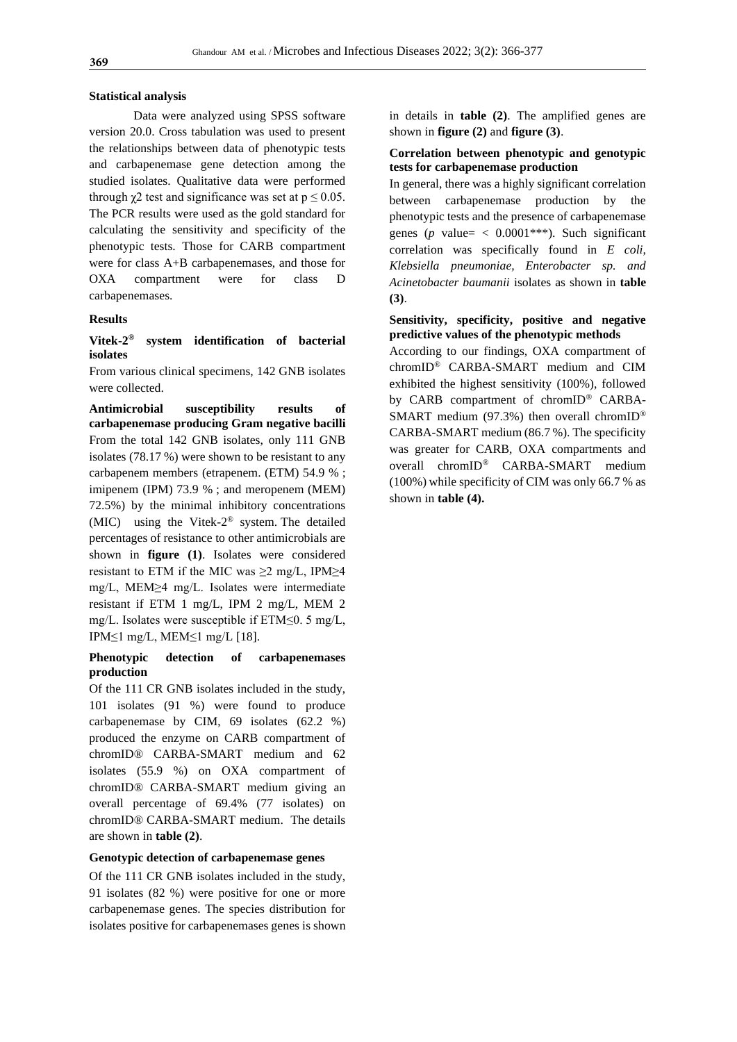#### **Statistical analysis**

Data were analyzed using SPSS software version 20.0. Cross tabulation was used to present the relationships between data of phenotypic tests and carbapenemase gene detection among the studied isolates. Qualitative data were performed through  $\gamma$ 2 test and significance was set at  $p \le 0.05$ . The PCR results were used as the gold standard for calculating the sensitivity and specificity of the phenotypic tests. Those for CARB compartment were for class A+B carbapenemases, and those for OXA compartment were for class D carbapenemases.

#### **Results**

## **Vitek-2 ® system identification of bacterial isolates**

From various clinical specimens, 142 GNB isolates were collected.

**Antimicrobial susceptibility results of carbapenemase producing Gram negative bacilli**  From the total 142 GNB isolates, only 111 GNB isolates (78.17 %) were shown to be resistant to any carbapenem members (etrapenem. (ETM) 54.9 % ; imipenem (IPM) 73.9 % ; and meropenem (MEM) 72.5%) by the minimal inhibitory concentrations (MIC) using the Vitek-2 ® system. The detailed percentages of resistance to other antimicrobials are shown in **figure (1)**. Isolates were considered resistant to ETM if the MIC was  $\geq 2$  mg/L, IPM $\geq 4$ mg/L, MEM≥4 mg/L. Isolates were intermediate resistant if ETM 1 mg/L, IPM 2 mg/L, MEM 2 mg/L. Isolates were susceptible if ETM≤0. 5 mg/L, IPM≤1 mg/L, MEM≤1 mg/L [18].

# **Phenotypic detection of carbapenemases production**

Of the 111 CR GNB isolates included in the study, 101 isolates (91 %) were found to produce carbapenemase by CIM, 69 isolates (62.2 %) produced the enzyme on CARB compartment of chromID® CARBA-SMART medium and 62 isolates (55.9 %) on OXA compartment of chromID® CARBA-SMART medium giving an overall percentage of 69.4% (77 isolates) on chromID® CARBA-SMART medium. The details are shown in **table (2)**.

# **Genotypic detection of carbapenemase genes**

Of the 111 CR GNB isolates included in the study, 91 isolates (82 %) were positive for one or more carbapenemase genes. The species distribution for isolates positive for carbapenemases genes is shown in details in **table (2)**. The amplified genes are shown in **figure (2)** and **figure (3)**.

# **Correlation between phenotypic and genotypic tests for carbapenemase production**

In general, there was a highly significant correlation between carbapenemase production by the phenotypic tests and the presence of carbapenemase genes ( $p$  value=  $\lt$  0.0001<sup>\*\*\*</sup>). Such significant correlation was specifically found in *E coli, Klebsiella pneumoniae, Enterobacter sp. and Acinetobacter baumanii* isolates as shown in **table (3)**.

# **Sensitivity, specificity, positive and negative predictive values of the phenotypic methods**

According to our findings, OXA compartment of chromID® CARBA-SMART medium and CIM exhibited the highest sensitivity (100%), followed by CARB compartment of chromID® CARBA-SMART medium (97.3%) then overall chromID<sup>®</sup> CARBA-SMART medium (86.7 %). The specificity was greater for CARB, OXA compartments and overall chromID® CARBA-SMART medium (100%) while specificity of CIM was only 66.7 % as shown in **table (4).**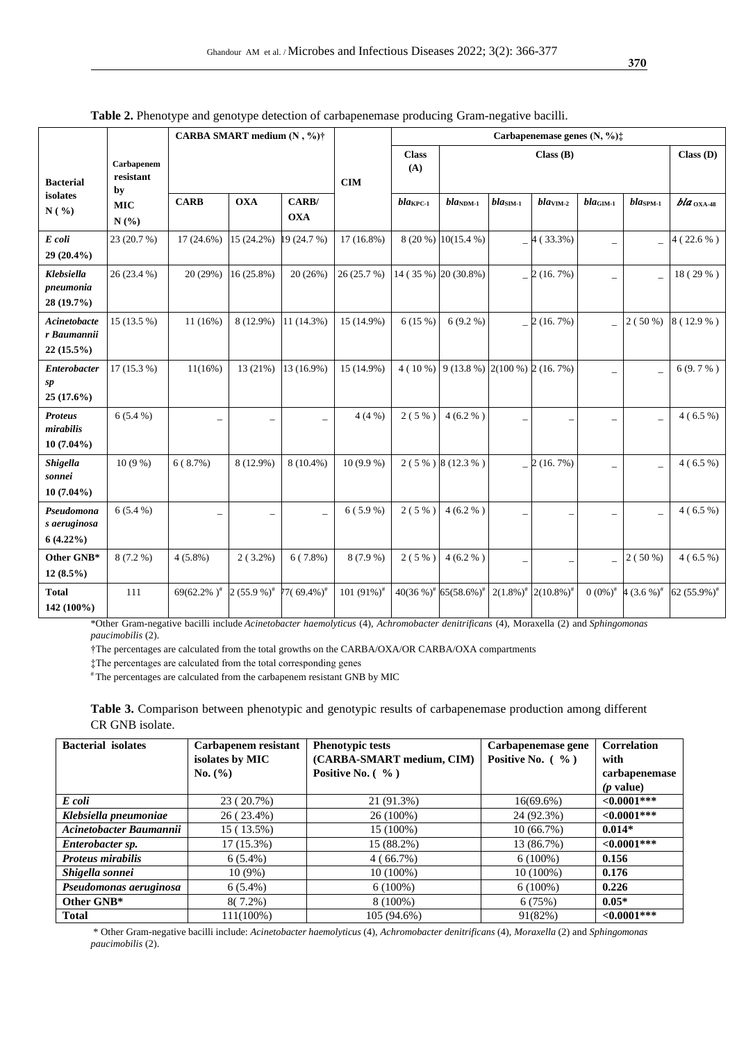|                                             |                                                     | CARBA SMART medium (N, %)† |                  |                           |                                 | Carbapenemase genes $(N, \frac{6}{2})$ : |                                        |                          |                                    |                      |                          |                    |
|---------------------------------------------|-----------------------------------------------------|----------------------------|------------------|---------------------------|---------------------------------|------------------------------------------|----------------------------------------|--------------------------|------------------------------------|----------------------|--------------------------|--------------------|
| <b>Bacterial</b>                            | Carbapenem<br>resistant<br>by<br><b>MIC</b><br>N(%) |                            |                  | CIM                       | Class(B)<br><b>Class</b><br>(A) |                                          |                                        | Class(D)                 |                                    |                      |                          |                    |
| isolates<br>N( %)                           |                                                     | <b>CARB</b>                | <b>OXA</b>       | CARB/<br><b>OXA</b>       |                                 | $bla_{\text{KPC-1}}$                     | $bla_{\text{NDM-1}}$                   | $bla_{\rm SIM\text{-}1}$ | $blaVM-2$                          | $bla_{\text{GIM-1}}$ | $bla_{SPM-1}$            | $bla_{\rm OXA-48}$ |
| E coli<br>29 (20.4%)                        | 23 (20.7 %)                                         | 17 (24.6%)                 | 15 (24.2%)       | 19 (24.7 %)               | $17(16.8\%)$                    |                                          | 8 (20 %) 10(15.4 %)                    |                          | $-4(33.3%)$                        |                      |                          | $4(22.6\%)$        |
| Klebsiella<br>pneumonia<br>28 (19.7%)       | 26 (23.4 %)                                         | 20(29%)                    | 16 (25.8%)       | 20(26%)                   | 26(25.7%)                       |                                          | 14 (35 %) 20 (30.8%)                   |                          | $-2(16.7%)$                        |                      |                          | 18 (29 %)          |
| Acinetobacte<br>r Baumannii<br>22 (15.5%)   | 15 (13.5 %)                                         | $11(16\%)$                 | 8 (12.9%)        | 11 (14.3%)                | 15 (14.9%)                      | 6(15%)                                   | $6(9.2\%)$                             |                          | $-2(16.7%)$                        |                      | $2(50\%)$                | 8 (12.9 %)         |
| <b>Enterobacter</b><br>sp<br>$25(17.6\%)$   | $17(15.3\%)$                                        | $11(16\%)$                 | 13(21%)          | 13 (16.9%)                | 15 (14.9%)                      |                                          | 4 (10 %) 9 (13.8 %) 2(100 %) 2 (16.7%) |                          |                                    |                      |                          | $6(9.7\%)$         |
| <b>Proteus</b><br>mirabilis<br>$10(7.04\%)$ | $6(5.4\%)$                                          |                            |                  | $\overline{a}$            | 4(4%)                           | 2(5%                                     | 4(6.2%                                 |                          |                                    |                      | $\overline{\phantom{0}}$ | $4(6.5\%)$         |
| <b>Shigella</b><br>sonnei<br>$10(7.04\%)$   | $10(9\%)$                                           | 6(8.7%)                    | 8 (12.9%)        | $8(10.4\%)$               | $10(9.9\%)$                     |                                          | $2(5\%)$ 8 (12.3 %)                    |                          | $-2(16.7%)$                        |                      |                          | $4(6.5\%)$         |
| Pseudomona<br>s aeruginosa<br>$6(4.22\%)$   | $6(5.4\%)$                                          |                            |                  | $\overline{a}$            | $6(5.9\%)$                      | 2(5%                                     | 4(6.2%                                 |                          |                                    |                      |                          | $4(6.5\%)$         |
| Other GNB*<br>$12(8.5\%)$                   | $8(7.2\%)$                                          | $4(5.8\%)$                 | $2(3.2\%)$       | $6(7.8\%)$                | $8(7.9\%)$                      | $2(5\%)$                                 | 4(6.2%                                 | $\qquad \qquad -$        | $\overline{\phantom{a}}$           |                      | $2(50\%)$                | $4(6.5\%)$         |
| <b>Total</b><br>142 (100%)                  | 111                                                 | 69(62.2%) <sup>#</sup>     | $2(55.9\%)^{\#}$ | $77(69.4\%)$ <sup>#</sup> | 101 $(91\%)^{\#}$               |                                          | $40(36\%)^*$ 65(58.6%) <sup>*</sup>    |                          | $2(1.8\%)^*$ 2(10.8%) <sup>#</sup> | $0(0\%)^{\#}$        | $4(3.6\%)^*$             | 62 $(55.9\%)^*$    |

**Table 2.** Phenotype and genotype detection of carbapenemase producing Gram-negative bacilli.

\*Other Gram-negative bacilli include *Acinetobacter haemolyticus* (4), *Achromobacter denitrificans* (4), Moraxella (2) and *Sphingomonas paucimobilis* (2).

†The percentages are calculated from the total growths on the CARBA/OXA/OR CARBA/OXA compartments

‡The percentages are calculated from the total corresponding genes

# The percentages are calculated from the carbapenem resistant GNB by MIC

**Table 3.** Comparison between phenotypic and genotypic results of carbapenemase production among different CR GNB isolate.

| <b>Bacterial</b> isolates | Carbapenem resistant | <b>Phenotypic tests</b>   | Carbapenemase gene   | <b>Correlation</b> |  |
|---------------------------|----------------------|---------------------------|----------------------|--------------------|--|
|                           | isolates by MIC      | (CARBA-SMART medium, CIM) | Positive No. $(\% )$ | with               |  |
|                           | No. (%)              | Positive No. $( %)$       |                      | carbapenemase      |  |
|                           |                      |                           |                      | $(p$ value)        |  |
| E coli                    | 23 (20.7%)           | 21 (91.3%)                | $16(69.6\%)$         | $< 0.0001$ ***     |  |
| Klebsiella pneumoniae     | 26 (23.4%)           | $26(100\%)$               | 24 (92.3%)           | $<0.0001***$       |  |
| Acinetobacter Baumannii   | 15 (13.5%)           | 15 (100%)                 | 10(66.7%)            | $0.014*$           |  |
| Enterobacter sp.          | $17(15.3\%)$         | 15 (88.2%)                | 13 (86.7%)           | $\leq 0.0001$ ***  |  |
| <b>Proteus mirabilis</b>  | $6(5.4\%)$           | $4(66.7\%)$               | $6(100\%)$           | 0.156              |  |
| Shigella sonnei           | $10(9\%)$            | $10(100\%)$               | 10 (100%)            | 0.176              |  |
| Pseudomonas aeruginosa    | $6(5.4\%)$           | $6(100\%)$                | $6(100\%)$           | 0.226              |  |
| Other GNB*                | $8(7.2\%)$           | $8(100\%)$                | 6(75%)               | $0.05*$            |  |
| <b>Total</b>              | $111(100\%)$         | 105 (94.6%)               | 91(82%)              | ${<}0.0001***$     |  |

\* Other Gram-negative bacilli include: *Acinetobacter haemolyticus* (4), *Achromobacter denitrificans* (4), *Moraxella* (2) and *Sphingomonas paucimobilis* (2).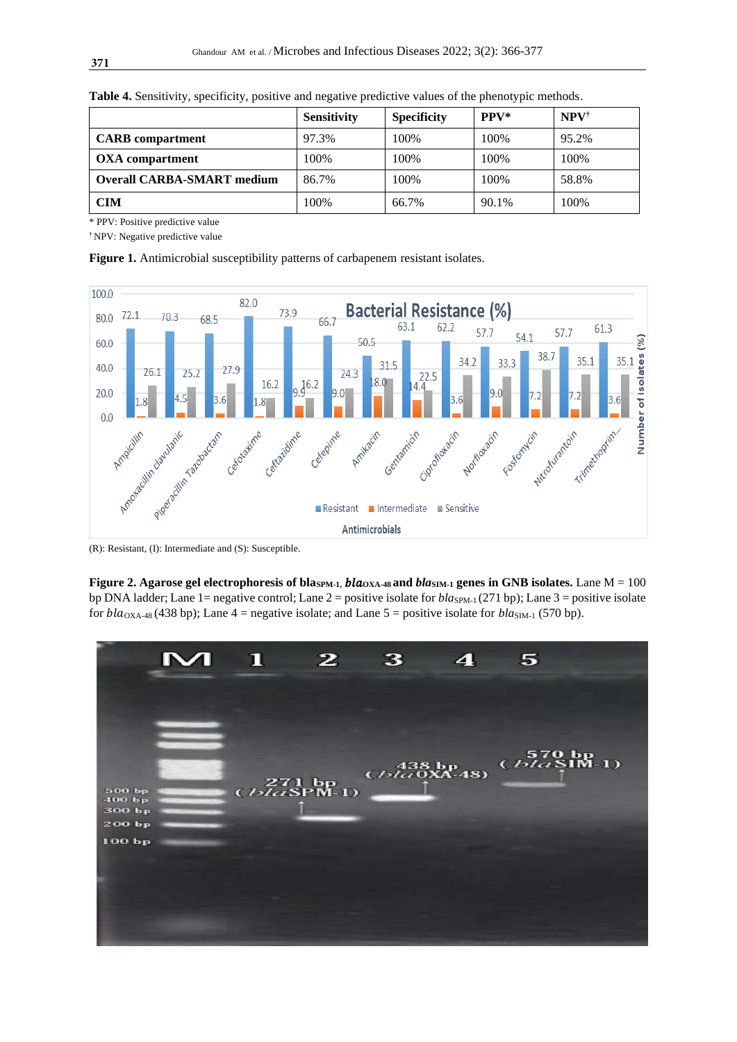|                                   | <b>Sensitivity</b> | <b>Specificity</b> | $PPV*$ | $NPV^{\dagger}$ |
|-----------------------------------|--------------------|--------------------|--------|-----------------|
| <b>CARB</b> compartment           | 97.3%              | 100%               | 100%   | 95.2%           |
| <b>OXA</b> compartment            | 100%               | 100%               | 100%   | 100%            |
| <b>Overall CARBA-SMART medium</b> | 86.7%              | 100%               | 100%   | 58.8%           |
| <b>CIM</b>                        | 100%               | 66.7%              | 90.1%  | 100%            |

**Table 4.** Sensitivity, specificity, positive and negative predictive values of the phenotypic methods.

\* PPV: Positive predictive value

† NPV: Negative predictive value

**Figure 1.** Antimicrobial susceptibility patterns of carbapenem resistant isolates.



**Figure 2. Agarose gel electrophoresis of blas<sub>PM-1</sub>,**  $bla_{\text{OXA-48}}$  **and**  $bla_{\text{SIM-1}}$  **genes in GNB isolates.** Lane  $M = 100$ bp DNA ladder; Lane 1= negative control; Lane 2 = positive isolate for *bla*<sub>SPM-1</sub> (271 bp); Lane 3 = positive isolate for  $bla_{\text{OXA-48}}$  (438 bp); Lane 4 = negative isolate; and Lane 5 = positive isolate for  $bla_{\text{SIM-1}}$  (570 bp).

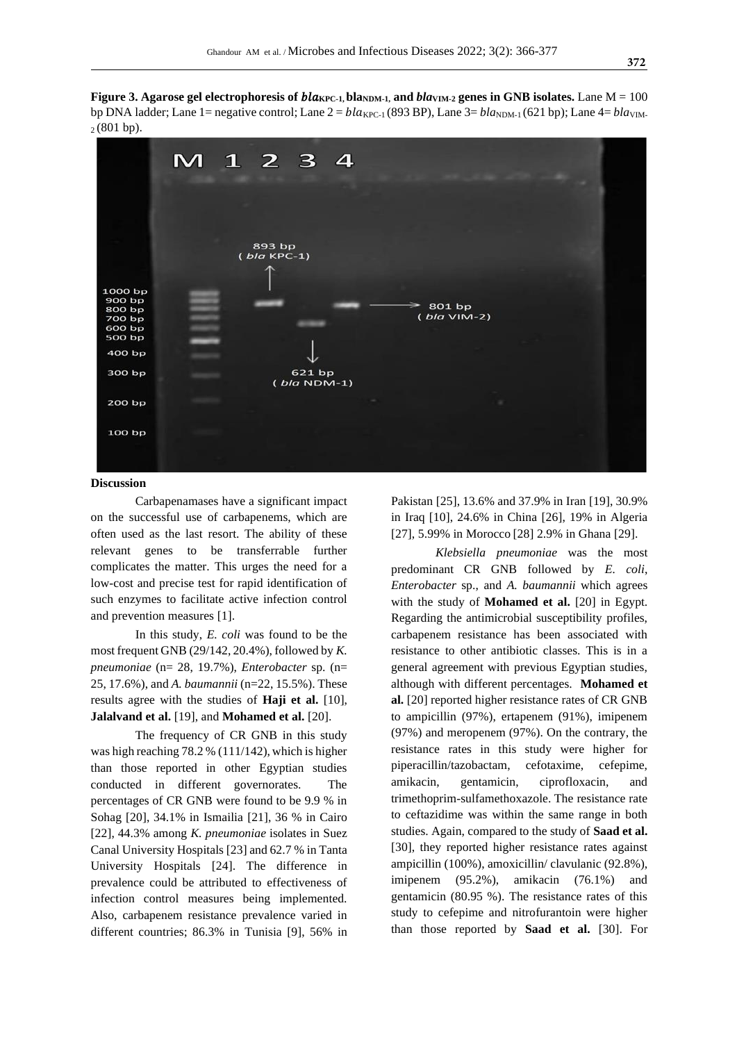**Figure** 3. Agarose gel electrophoresis of  $bla_{KPC-1}$ ,  $bla_{NDM-1}$ , and  $bla_{VIM-2}$  genes in GNB isolates. Lane  $M = 100$ bp DNA ladder; Lane 1= negative control; Lane  $2 = bla_{\text{KPC-1}}(893 B)$ , Lane  $3 = bla_{\text{NDM-1}}(621 b)$ ; Lane  $4 = bla_{\text{VIM-1}}(621 b)$  $2(801 bp)$ .



#### **Discussion**

Carbapenamases have a significant impact on the successful use of carbapenems, which are often used as the last resort. The ability of these relevant genes to be transferrable further complicates the matter. This urges the need for a low-cost and precise test for rapid identification of such enzymes to facilitate active infection control and prevention measures [1].

In this study, *E. coli* was found to be the most frequent GNB (29/142, 20.4%), followed by *K. pneumoniae* (n= 28, 19.7%), *Enterobacter* sp. (n= 25, 17.6%), and *A. baumannii* (n=22, 15.5%). These results agree with the studies of **Haji et al.** [10], **Jalalvand et al.** [19], and **Mohamed et al.** [20].

The frequency of CR GNB in this study was high reaching 78.2 % (111/142), which is higher than those reported in other Egyptian studies conducted in different governorates. The percentages of CR GNB were found to be 9.9 % in Sohag [20], 34.1% in Ismailia [21], 36 % in Cairo [22], 44.3% among *K. pneumoniae* isolates in Suez Canal University Hospitals [23] and 62.7 % in Tanta University Hospitals [24]. The difference in prevalence could be attributed to effectiveness of infection control measures being implemented. Also, carbapenem resistance prevalence varied in different countries; 86.3% in Tunisia [9], 56% in Pakistan [25], 13.6% and 37.9% in Iran [19], 30.9% in Iraq [10], 24.6% in China [26], 19% in Algeria [27], 5.99% in Morocco [28] 2.9% in Ghana [29].

*Klebsiella pneumoniae* was the most predominant CR GNB followed by *E. coli*, *Enterobacter* sp., and *A. baumannii* which agrees with the study of **Mohamed et al.** [20] in Egypt. Regarding the antimicrobial susceptibility profiles, carbapenem resistance has been associated with resistance to other antibiotic classes. This is in a general agreement with previous Egyptian studies, although with different percentages. **Mohamed et al.** [20] reported higher resistance rates of CR GNB to ampicillin (97%), ertapenem (91%), imipenem (97%) and meropenem (97%). On the contrary, the resistance rates in this study were higher for piperacillin/tazobactam, cefotaxime, cefepime, amikacin, gentamicin, ciprofloxacin, and trimethoprim-sulfamethoxazole. The resistance rate to ceftazidime was within the same range in both studies. Again, compared to the study of **Saad et al.** [30], they reported higher resistance rates against ampicillin (100%), amoxicillin/ clavulanic (92.8%), imipenem (95.2%), amikacin (76.1%) and gentamicin (80.95 %). The resistance rates of this study to cefepime and nitrofurantoin were higher than those reported by **Saad et al.** [30]. For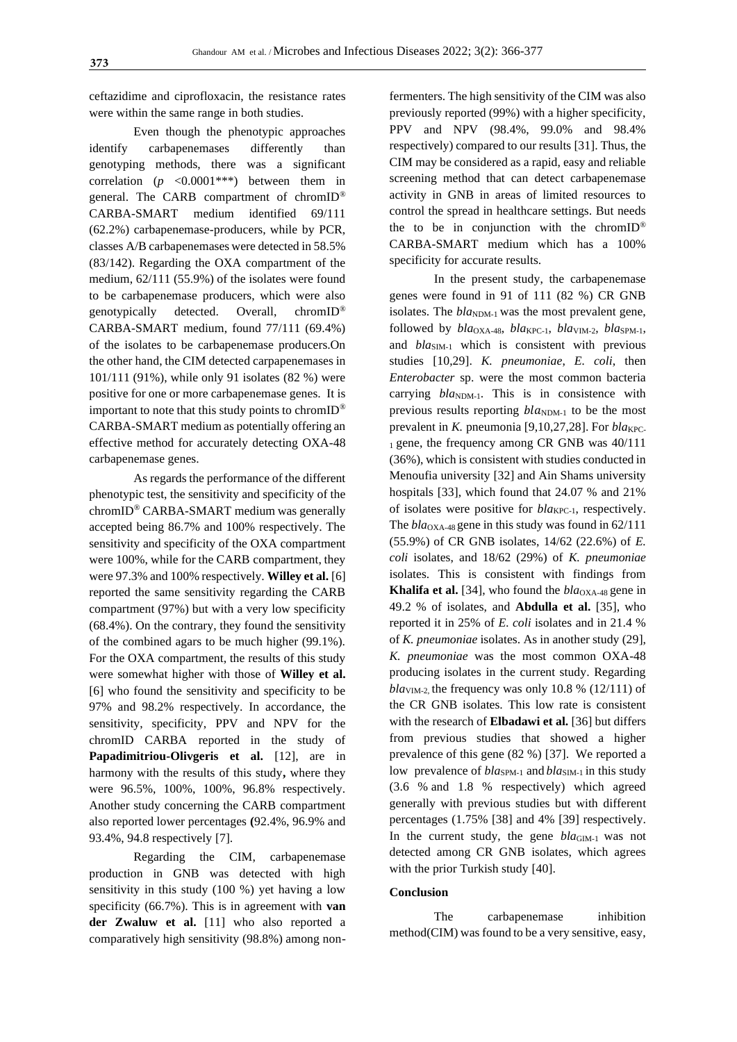ceftazidime and ciprofloxacin, the resistance rates were within the same range in both studies.

Even though the phenotypic approaches identify carbapenemases differently than genotyping methods, there was a significant correlation  $(p \leq 0.0001^{***})$  between them in general. The CARB compartment of chromID® CARBA-SMART medium identified 69/111 (62.2%) carbapenemase-producers, while by PCR, classes A/B carbapenemases were detected in 58.5% (83/142). Regarding the OXA compartment of the medium, 62/111 (55.9%) of the isolates were found to be carbapenemase producers, which were also genotypically detected. Overall, chromID® CARBA-SMART medium, found 77/111 (69.4%) of the isolates to be carbapenemase producers.On the other hand, the CIM detected carpapenemases in 101/111 (91%), while only 91 isolates (82 %) were positive for one or more carbapenemase genes. It is important to note that this study points to chrom $ID^{\circledR}$ CARBA-SMART medium as potentially offering an effective method for accurately detecting OXA-48 carbapenemase genes.

As regards the performance of the different phenotypic test, the sensitivity and specificity of the chromID® CARBA-SMART medium was generally accepted being 86.7% and 100% respectively. The sensitivity and specificity of the OXA compartment were 100%, while for the CARB compartment, they were 97.3% and 100% respectively. **Willey et al.** [6] reported the same sensitivity regarding the CARB compartment (97%) but with a very low specificity (68.4%). On the contrary, they found the sensitivity of the combined agars to be much higher (99.1%). For the OXA compartment, the results of this study were somewhat higher with those of **Willey et al.**  [6] who found the sensitivity and specificity to be 97% and 98.2% respectively. In accordance, the sensitivity, specificity, PPV and NPV for the chromID CARBA reported in the study of **Papadimitriou-Olivgeris et al.** [12], are in harmony with the results of this study**,** where they were 96.5%, 100%, 100%, 96.8% respectively. Another study concerning the CARB compartment also reported lower percentages **(**92.4%, 96.9% and 93.4%, 94.8 respectively [7].

Regarding the CIM, carbapenemase production in GNB was detected with high sensitivity in this study (100 %) yet having a low specificity (66.7%). This is in agreement with **van der Zwaluw et al.** [11] who also reported a comparatively high sensitivity (98.8%) among nonfermenters. The high sensitivity of the CIM was also previously reported (99%) with a higher specificity, PPV and NPV (98.4%, 99.0% and 98.4% respectively) compared to our results [31]. Thus, the CIM may be considered as a rapid, easy and reliable screening method that can detect carbapenemase activity in GNB in areas of limited resources to control the spread in healthcare settings. But needs the to be in conjunction with the chromID<sup>®</sup> CARBA-SMART medium which has a 100% specificity for accurate results.

In the present study, the carbapenemase genes were found in 91 of 111 (82 %) CR GNB isolates. The  $bla_{NDM-1}$  was the most prevalent gene, followed by  $bla_{\text{OXA-48}}$ ,  $bla_{\text{KPC-1}}$ ,  $bla_{\text{VIM-2}}$ ,  $bla_{\text{SPM-1}}$ , and *bla*<sub>SIM-1</sub> which is consistent with previous studies [10,29]. *K. pneumoniae*, *E. coli*, then *Enterobacter* sp. were the most common bacteria carrying  $bla_{NDM-1}$ . This is in consistence with previous results reporting  $bla_{NDM-1}$  to be the most prevalent in *K*. pneumonia [9,10,27,28]. For  $bla_{\text{KPC}}$ -1 gene, the frequency among CR GNB was  $40/111$ (36%), which is consistent with studies conducted in Menoufia university [32] and Ain Shams university hospitals [33], which found that 24.07 % and 21% of isolates were positive for *bla*<sub>KPC-1</sub>, respectively. The *bla*<sub>OXA-48</sub> gene in this study was found in 62/111 (55.9%) of CR GNB isolates, 14/62 (22.6%) of *E. coli* isolates, and 18/62 (29%) of *K. pneumoniae* isolates. This is consistent with findings from **Khalifa et al.** [34], who found the  $bla_{\text{OXA-48}}$  gene in 49.2 % of isolates, and **Abdulla et al.** [35], who reported it in 25% of *E. coli* isolates and in 21.4 % of *K. pneumoniae* isolates. As in another study (29], *K. pneumoniae* was the most common OXA-48 producing isolates in the current study. Regarding  $bla<sub>VIM-2</sub>$ , the frequency was only 10.8 % (12/111) of the CR GNB isolates. This low rate is consistent with the research of **Elbadawi et al.** [36] but differs from previous studies that showed a higher prevalence of this gene (82 %) [37]. We reported a low prevalence of *bla*<sub>SPM-1</sub> and *bla*<sub>SIM-1</sub> in this study (3.6 % and 1.8 % respectively) which agreed generally with previous studies but with different percentages (1.75% [38] and 4% [39] respectively. In the current study, the gene *bla*<sub>GIM-1</sub> was not detected among CR GNB isolates, which agrees with the prior Turkish study [40].

## **Conclusion**

The carbapenemase inhibition method(CIM) was found to be a very sensitive, easy,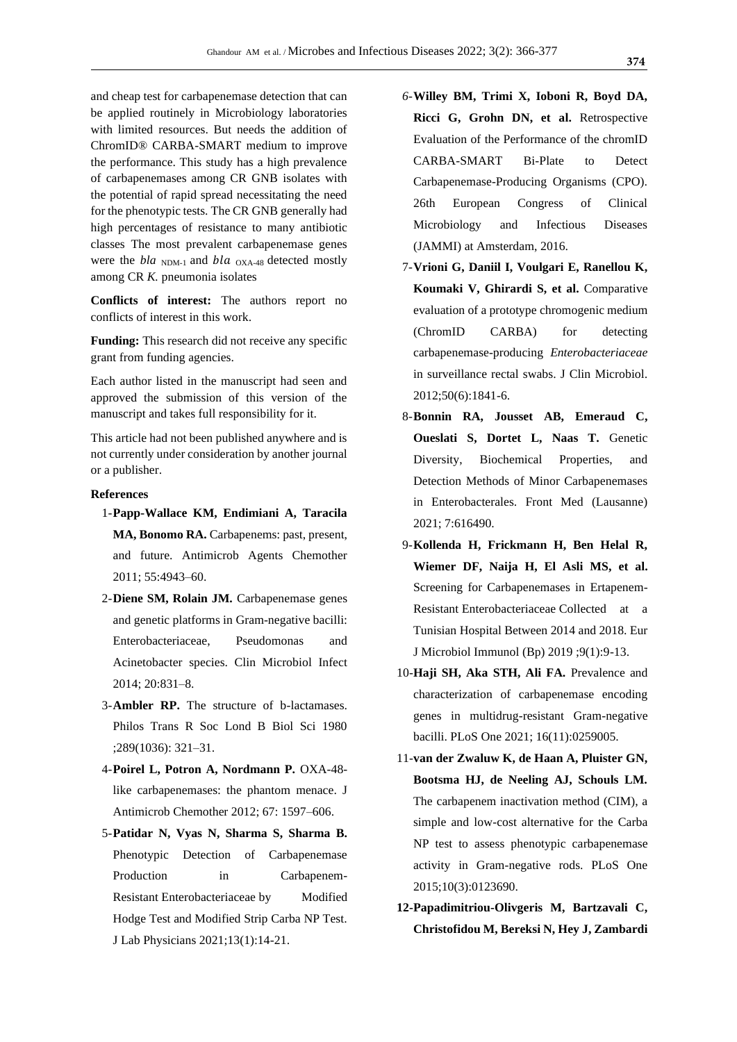and cheap test for carbapenemase detection that can be applied routinely in Microbiology laboratories with limited resources. But needs the addition of ChromID® CARBA-SMART medium to improve the performance. This study has a high prevalence of carbapenemases among CR GNB isolates with the potential of rapid spread necessitating the need for the phenotypic tests. The CR GNB generally had high percentages of resistance to many antibiotic classes The most prevalent carbapenemase genes were the  $bla$ <sub>NDM-1</sub> and  $bla$ <sub>OXA-48</sub> detected mostly among CR *K.* pneumonia isolates

**Conflicts of interest:** The authors report no conflicts of interest in this work.

**Funding:** This research did not receive any specific grant from funding agencies.

Each author listed in the manuscript had seen and approved the submission of this version of the manuscript and takes full responsibility for it.

This article had not been published anywhere and is not currently under consideration by another journal or a publisher.

# **References**

- 1-**Papp-Wallace KM, Endimiani A, Taracila MA, Bonomo RA.** Carbapenems: past, present, and future. Antimicrob Agents Chemother 2011; 55:4943–60.
- 2-**Diene SM, Rolain JM.** Carbapenemase genes and genetic platforms in Gram-negative bacilli: Enterobacteriaceae, Pseudomonas and Acinetobacter species. Clin Microbiol Infect 2014; 20:831–8.
- 3-**Ambler RP.** The structure of b-lactamases. Philos Trans R Soc Lond B Biol Sci 1980 ;289(1036): 321–31.
- 4-**Poirel L, Potron A, Nordmann P.** OXA-48 like carbapenemases: the phantom menace. J Antimicrob Chemother 2012; 67: 1597–606.
- 5-**Patidar N, Vyas N, Sharma S, Sharma B.**  Phenotypic Detection of Carbapenemase Production in Carbapenem-Resistant Enterobacteriaceae by Modified Hodge Test and Modified Strip Carba NP Test. J Lab Physicians 2021;13(1):14-21.
- *6-***Willey BM, Trimi X, Ioboni R, Boyd DA, Ricci G, Grohn DN, et al.** Retrospective Evaluation of the Performance of the chromID CARBA-SMART Bi-Plate to Detect Carbapenemase-Producing Organisms (CPO). 26th European Congress of Clinical Microbiology and Infectious Diseases (JAMMI) at Amsterdam, 2016.
- 7-**Vrioni G, Daniil I, Voulgari E, Ranellou K, Koumaki V, Ghirardi S, et al.** Comparative evaluation of a prototype chromogenic medium (ChromID CARBA) for detecting carbapenemase-producing *Enterobacteriaceae* in surveillance rectal swabs. J Clin Microbiol. 2012;50(6):1841-6.
- 8-**Bonnin RA, Jousset AB, Emeraud C, Oueslati S, Dortet L, Naas T.** Genetic Diversity, Biochemical Properties, and Detection Methods of Minor Carbapenemases in Enterobacterales. Front Med (Lausanne) 2021; 7:616490.
- 9-**Kollenda H, Frickmann H, Ben Helal R, Wiemer DF, Naija H, El Asli MS, et al.**  Screening for Carbapenemases in Ertapenem-Resistant Enterobacteriaceae Collected at a Tunisian Hospital Between 2014 and 2018. Eur J Microbiol Immunol (Bp) 2019 ;9(1):9-13.
- 10-**Haji SH, Aka STH, Ali FA.** Prevalence and characterization of carbapenemase encoding genes in multidrug-resistant Gram-negative bacilli. PLoS One 2021; 16(11):0259005.
- 11-**van der Zwaluw K, de Haan A, Pluister GN, Bootsma HJ, de Neeling AJ, Schouls LM.**  The carbapenem inactivation method (CIM), a simple and low-cost alternative for the Carba NP test to assess phenotypic carbapenemase activity in Gram-negative rods. PLoS One 2015;10(3):0123690.
- **12-Papadimitriou-Olivgeris M, Bartzavali C, Christofidou M, Bereksi N, Hey J, Zambardi**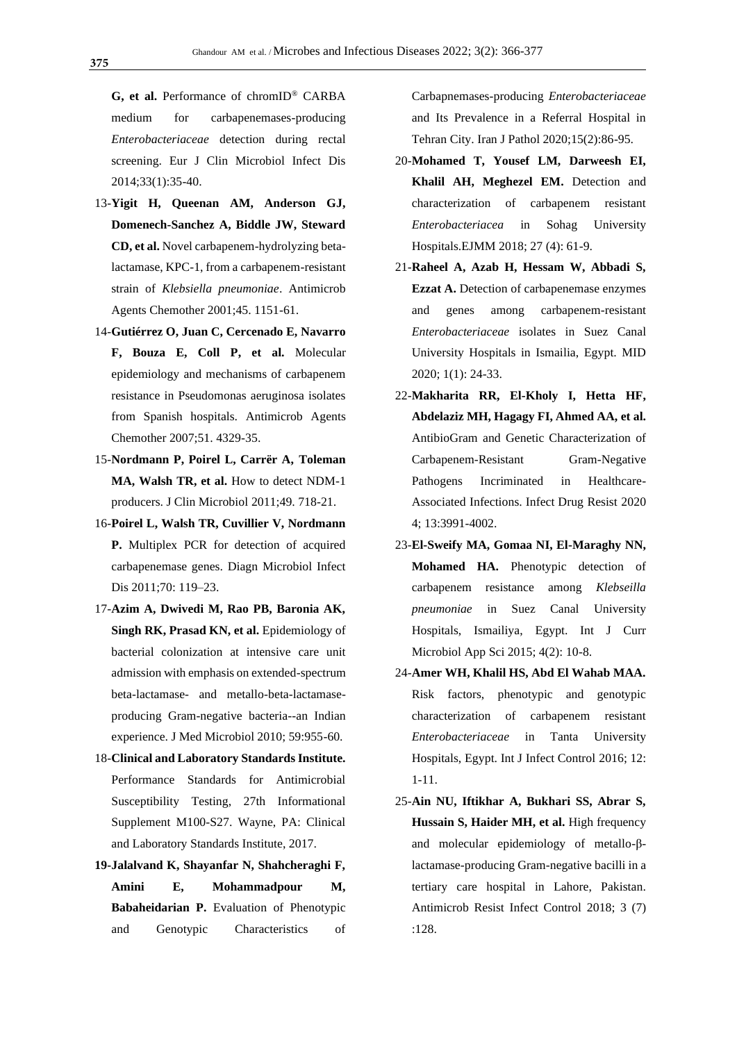**G, et al.** Performance of chromID® CARBA medium for carbapenemases-producing *Enterobacteriaceae* detection during rectal screening. Eur J Clin Microbiol Infect Dis 2014;33(1):35-40.

- 13-**Yigit H, Queenan AM, Anderson GJ, Domenech-Sanchez A, Biddle JW, Steward CD, et al.** Novel carbapenem-hydrolyzing betalactamase, KPC-1, from a carbapenem-resistant strain of *Klebsiella pneumoniae*. Antimicrob Agents Chemother 2001;45. 1151-61.
- 14-**Gutiérrez O, Juan C, Cercenado E, Navarro F, Bouza E, Coll P, et al.** Molecular epidemiology and mechanisms of carbapenem resistance in Pseudomonas aeruginosa isolates from Spanish hospitals. Antimicrob Agents Chemother 2007;51. 4329-35.
- 15-**Nordmann P, Poirel L, Carrër A, Toleman MA, Walsh TR, et al.** How to detect NDM-1 producers. J Clin Microbiol 2011;49. 718-21.
- 16-**Poirel L, Walsh TR, Cuvillier V, Nordmann P.** Multiplex PCR for detection of acquired carbapenemase genes. Diagn Microbiol Infect Dis 2011;70: 119–23.
- 17-**Azim A, Dwivedi M, Rao PB, Baronia AK,**  Singh RK, Prasad KN, et al. Epidemiology of bacterial colonization at intensive care unit admission with emphasis on extended-spectrum beta-lactamase- and metallo-beta-lactamaseproducing Gram-negative bacteria--an Indian experience. J Med Microbiol 2010; 59:955-60.
- 18-**Clinical and Laboratory Standards Institute.**  Performance Standards for Antimicrobial Susceptibility Testing, 27th Informational Supplement M100-S27. Wayne, PA: Clinical and Laboratory Standards Institute, 2017.
- **19-Jalalvand K, Shayanfar N, Shahcheraghi F, Amini E, Mohammadpour M, Babaheidarian P.** Evaluation of Phenotypic and Genotypic Characteristics of

Carbapnemases-producing *Enterobacteriaceae*  and Its Prevalence in a Referral Hospital in Tehran City. Iran J Pathol 2020;15(2):86-95.

- 20-**Mohamed T, Yousef LM, Darweesh EI, Khalil AH, Meghezel EM.** Detection and characterization of carbapenem resistant *Enterobacteriacea* in Sohag University Hospitals.EJMM 2018; 27 (4): 61-9.
- 21-**Raheel A, Azab H, Hessam W, Abbadi S, Ezzat A.** Detection of carbapenemase enzymes and genes among carbapenem-resistant *Enterobacteriaceae* isolates in Suez Canal University Hospitals in Ismailia, Egypt. MID 2020; 1(1): 24-33.
- 22-**Makharita RR, El-Kholy I, Hetta HF, Abdelaziz MH, Hagagy FI, Ahmed AA, et al.**  AntibioGram and Genetic Characterization of Carbapenem-Resistant Gram-Negative Pathogens Incriminated in Healthcare-Associated Infections. Infect Drug Resist 2020 4; 13:3991-4002.
- 23-**El-Sweify MA, Gomaa NI, El-Maraghy NN, Mohamed HA.** Phenotypic detection of carbapenem resistance among *Klebseilla pneumoniae* in Suez Canal University Hospitals, Ismailiya, Egypt. Int J Curr Microbiol App Sci 2015; 4(2): 10-8.
- 24-**Amer WH, Khalil HS, Abd El Wahab MAA.**  Risk factors, phenotypic and genotypic characterization of carbapenem resistant *Enterobacteriaceae* in Tanta University Hospitals, Egypt. Int J Infect Control 2016; 12: 1-11.
- 25-**Ain NU, Iftikhar A, Bukhari SS, Abrar S, Hussain S, Haider MH, et al. High frequency** and molecular epidemiology of metallo-βlactamase-producing Gram-negative bacilli in a tertiary care hospital in Lahore, Pakistan. Antimicrob Resist Infect Control 2018; 3 (7) :128.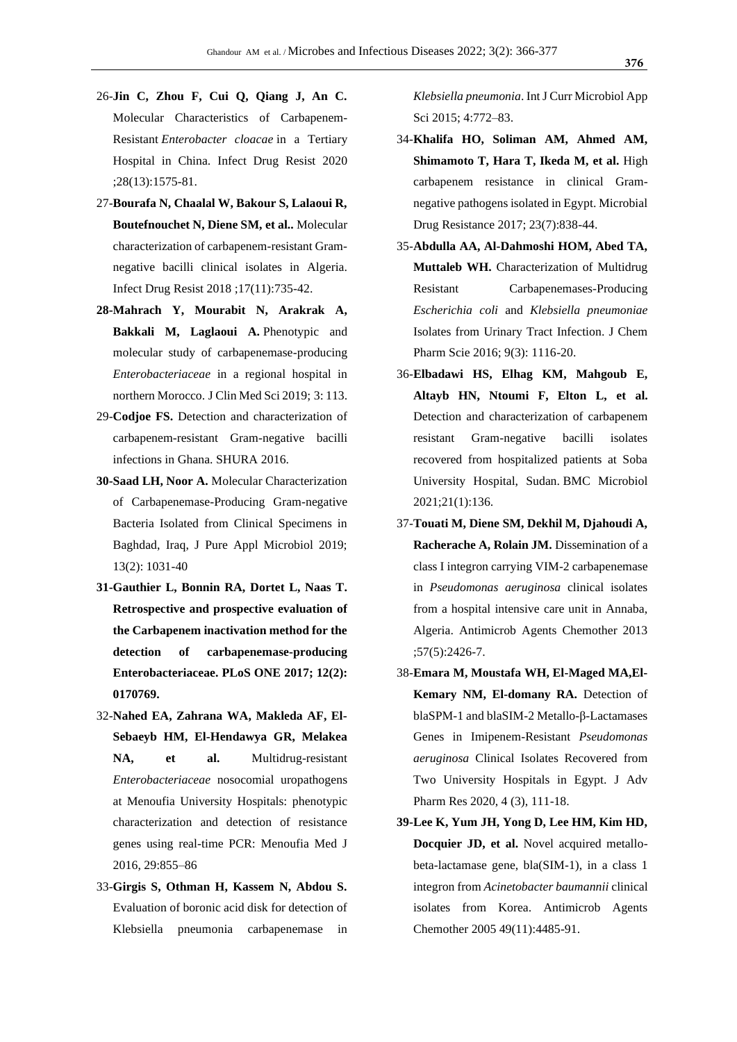- 26-**Jin C, Zhou F, Cui Q, Qiang J, An C.**  Molecular Characteristics of Carbapenem-Resistant *Enterobacter cloacae* in a Tertiary Hospital in China. Infect Drug Resist 2020 ;28(13):1575-81.
- 27-**Bourafa N, Chaalal W, Bakour S, Lalaoui R, Boutefnouchet N, Diene SM, et al..** Molecular characterization of carbapenem-resistant Gramnegative bacilli clinical isolates in Algeria. Infect Drug Resist 2018 ;17(11):735-42.
- **28-Mahrach Y, Mourabit N, Arakrak A, Bakkali M, Laglaoui A.** Phenotypic and molecular study of carbapenemase-producing *Enterobacteriaceae* in a regional hospital in northern Morocco. J Clin Med Sci 2019; 3: 113.
- 29-**Codjoe FS.** Detection and characterization of carbapenem-resistant Gram-negative bacilli infections in Ghana. SHURA 2016.
- **30-Saad LH, Noor A.** Molecular Characterization of Carbapenemase-Producing Gram-negative Bacteria Isolated from Clinical Specimens in Baghdad, Iraq, J Pure Appl Microbiol 2019; 13(2): 1031-40
- **31-Gauthier L, Bonnin RA, Dortet L, Naas T. Retrospective and prospective evaluation of the Carbapenem inactivation method for the detection of carbapenemase-producing Enterobacteriaceae. PLoS ONE 2017; 12(2): 0170769.**
- 32-**Nahed EA, Zahrana WA, Makleda AF, El-Sebaeyb HM, El-Hendawya GR, Melakea NA, et al.** Multidrug-resistant *Enterobacteriaceae* nosocomial uropathogens at Menoufia University Hospitals: phenotypic characterization and detection of resistance genes using real-time PCR: Menoufia Med J 2016, 29:855–86
- 33-**Girgis S, Othman H, Kassem N, Abdou S.**  Evaluation of boronic acid disk for detection of Klebsiella pneumonia carbapenemase in

*Klebsiella pneumonia*. Int J Curr Microbiol App Sci 2015; 4:772–83.

- 34-**Khalifa HO, Soliman AM, Ahmed AM, Shimamoto T, Hara T, Ikeda M, et al.** High carbapenem resistance in clinical Gramnegative pathogens isolated in Egypt. Microbial Drug Resistance 2017; 23(7):838-44.
- 35-**Abdulla AA, Al-Dahmoshi HOM, Abed TA, Muttaleb WH.** Characterization of Multidrug Resistant Carbapenemases-Producing *Escherichia coli* and *Klebsiella pneumoniae*  Isolates from Urinary Tract Infection. J Chem Pharm Scie 2016; 9(3): 1116-20.
- 36-**Elbadawi HS, Elhag KM, Mahgoub E, Altayb HN, Ntoumi F, Elton L, et al.** Detection and characterization of carbapenem resistant Gram-negative bacilli isolates recovered from hospitalized patients at Soba University Hospital, Sudan. BMC Microbiol 2021;21(1):136.
- 37-**Touati M, Diene SM, Dekhil M, Djahoudi A, Racherache A, Rolain JM.** Dissemination of a class I integron carrying VIM-2 carbapenemase in *Pseudomonas aeruginosa* clinical isolates from a hospital intensive care unit in Annaba, Algeria. Antimicrob Agents Chemother 2013 ;57(5):2426-7.
- 38-**Emara M, Moustafa WH, El-Maged MA,El-Kemary NM, El-domany RA.** Detection of blaSPM-1 and blaSIM-2 Metallo-β-Lactamases Genes in Imipenem-Resistant *Pseudomonas aeruginosa* Clinical Isolates Recovered from Two University Hospitals in Egypt. J Adv Pharm Res 2020, 4 (3), 111-18.
- **39-Lee K, Yum JH, Yong D, Lee HM, Kim HD, Docquier JD, et al.** Novel acquired metallobeta-lactamase gene, bla(SIM-1), in a class 1 integron from *Acinetobacter baumannii* clinical isolates from Korea. Antimicrob Agents Chemother 2005 49(11):4485-91.